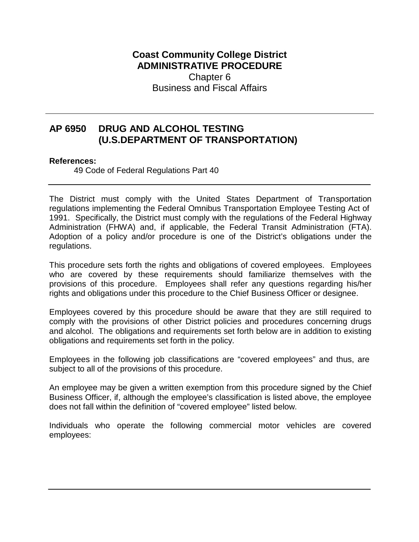## **Coast Community College District ADMINISTRATIVE PROCEDURE**  Chapter 6 Business and Fiscal Affairs

## **AP 6950 DRUG AND ALCOHOL TESTING (U.S.DEPARTMENT OF TRANSPORTATION)**

## **References:**

49 Code of Federal Regulations Part 40

The District must comply with the United States Department of Transportation regulations implementing the Federal Omnibus Transportation Employee Testing Act of 1991. Specifically, the District must comply with the regulations of the Federal Highway Administration (FHWA) and, if applicable, the Federal Transit Administration (FTA). Adoption of a policy and/or procedure is one of the District's obligations under the regulations.

This procedure sets forth the rights and obligations of covered employees. Employees who are covered by these requirements should familiarize themselves with the provisions of this procedure. Employees shall refer any questions regarding his/her rights and obligations under this procedure to the Chief Business Officer or designee.

Employees covered by this procedure should be aware that they are still required to comply with the provisions of other District policies and procedures concerning drugs and alcohol. The obligations and requirements set forth below are in addition to existing obligations and requirements set forth in the policy.

Employees in the following job classifications are "covered employees" and thus, are subject to all of the provisions of this procedure.

An employee may be given a written exemption from this procedure signed by the Chief Business Officer, if, although the employee's classification is listed above, the employee does not fall within the definition of "covered employee" listed below.

Individuals who operate the following commercial motor vehicles are covered employees: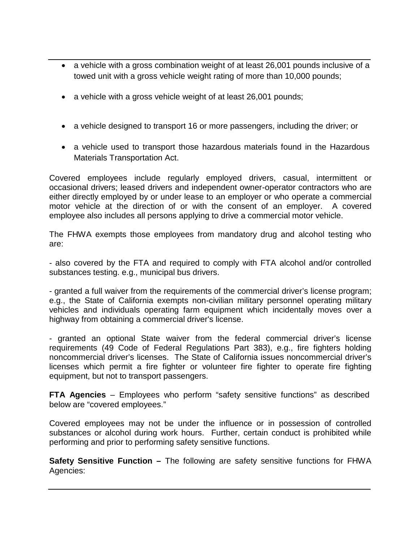- a vehicle with a gross combination weight of at least 26,001 pounds inclusive of a towed unit with a gross vehicle weight rating of more than 10,000 pounds;
- a vehicle with a gross vehicle weight of at least 26,001 pounds;
- a vehicle designed to transport 16 or more passengers, including the driver; or
- a vehicle used to transport those hazardous materials found in the Hazardous Materials Transportation Act.

Covered employees include regularly employed drivers, casual, intermittent or occasional drivers; leased drivers and independent owner-operator contractors who are either directly employed by or under lease to an employer or who operate a commercial motor vehicle at the direction of or with the consent of an employer. A covered employee also includes all persons applying to drive a commercial motor vehicle.

The FHWA exempts those employees from mandatory drug and alcohol testing who are:

- also covered by the FTA and required to comply with FTA alcohol and/or controlled substances testing. e.g., municipal bus drivers.

- granted a full waiver from the requirements of the commercial driver's license program; e.g., the State of California exempts non-civilian military personnel operating military vehicles and individuals operating farm equipment which incidentally moves over a highway from obtaining a commercial driver's license.

- granted an optional State waiver from the federal commercial driver's license requirements (49 Code of Federal Regulations Part 383), e.g., fire fighters holding noncommercial driver's licenses. The State of California issues noncommercial driver's licenses which permit a fire fighter or volunteer fire fighter to operate fire fighting equipment, but not to transport passengers.

**FTA Agencies** – Employees who perform "safety sensitive functions" as described below are "covered employees."

Covered employees may not be under the influence or in possession of controlled substances or alcohol during work hours. Further, certain conduct is prohibited while performing and prior to performing safety sensitive functions.

**Safety Sensitive Function –** The following are safety sensitive functions for FHWA Agencies: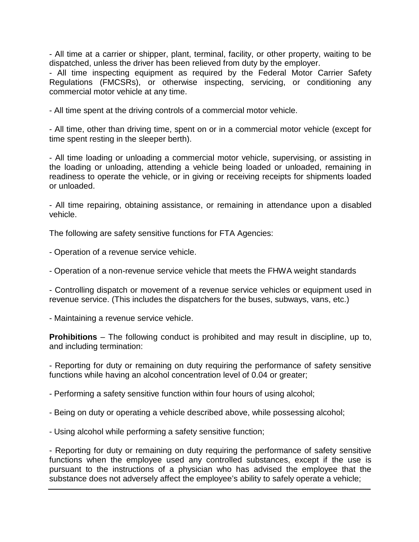- All time at a carrier or shipper, plant, terminal, facility, or other property, waiting to be dispatched, unless the driver has been relieved from duty by the employer.

- All time inspecting equipment as required by the Federal Motor Carrier Safety Regulations (FMCSRs), or otherwise inspecting, servicing, or conditioning any commercial motor vehicle at any time.

- All time spent at the driving controls of a commercial motor vehicle.

- All time, other than driving time, spent on or in a commercial motor vehicle (except for time spent resting in the sleeper berth).

- All time loading or unloading a commercial motor vehicle, supervising, or assisting in the loading or unloading, attending a vehicle being loaded or unloaded, remaining in readiness to operate the vehicle, or in giving or receiving receipts for shipments loaded or unloaded.

- All time repairing, obtaining assistance, or remaining in attendance upon a disabled vehicle.

The following are safety sensitive functions for FTA Agencies:

- Operation of a revenue service vehicle.

- Operation of a non-revenue service vehicle that meets the FHWA weight standards

- Controlling dispatch or movement of a revenue service vehicles or equipment used in revenue service. (This includes the dispatchers for the buses, subways, vans, etc.)

- Maintaining a revenue service vehicle.

**Prohibitions** – The following conduct is prohibited and may result in discipline, up to, and including termination:

- Reporting for duty or remaining on duty requiring the performance of safety sensitive functions while having an alcohol concentration level of 0.04 or greater;

- Performing a safety sensitive function within four hours of using alcohol;

- Being on duty or operating a vehicle described above, while possessing alcohol;
- Using alcohol while performing a safety sensitive function;

- Reporting for duty or remaining on duty requiring the performance of safety sensitive functions when the employee used any controlled substances, except if the use is pursuant to the instructions of a physician who has advised the employee that the substance does not adversely affect the employee's ability to safely operate a vehicle;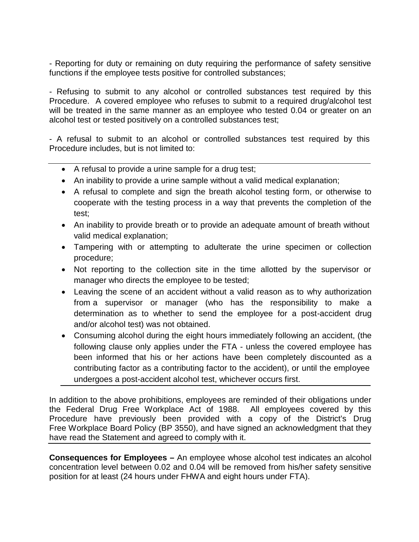- Reporting for duty or remaining on duty requiring the performance of safety sensitive functions if the employee tests positive for controlled substances;

- Refusing to submit to any alcohol or controlled substances test required by this Procedure. A covered employee who refuses to submit to a required drug/alcohol test will be treated in the same manner as an employee who tested 0.04 or greater on an alcohol test or tested positively on a controlled substances test;

- A refusal to submit to an alcohol or controlled substances test required by this Procedure includes, but is not limited to:

- A refusal to provide a urine sample for a drug test;
- An inability to provide a urine sample without a valid medical explanation;
- A refusal to complete and sign the breath alcohol testing form, or otherwise to cooperate with the testing process in a way that prevents the completion of the test;
- An inability to provide breath or to provide an adequate amount of breath without valid medical explanation;
- Tampering with or attempting to adulterate the urine specimen or collection procedure;
- Not reporting to the collection site in the time allotted by the supervisor or manager who directs the employee to be tested;
- Leaving the scene of an accident without a valid reason as to why authorization from a supervisor or manager (who has the responsibility to make a determination as to whether to send the employee for a post-accident drug and/or alcohol test) was not obtained.
- Consuming alcohol during the eight hours immediately following an accident, (the following clause only applies under the FTA - unless the covered employee has been informed that his or her actions have been completely discounted as a contributing factor as a contributing factor to the accident), or until the employee undergoes a post-accident alcohol test, whichever occurs first.

In addition to the above prohibitions, employees are reminded of their obligations under the Federal Drug Free Workplace Act of 1988. All employees covered by this Procedure have previously been provided with a copy of the District's Drug Free Workplace Board Policy (BP 3550), and have signed an acknowledgment that they have read the Statement and agreed to comply with it.

**Consequences for Employees –** An employee whose alcohol test indicates an alcohol concentration level between 0.02 and 0.04 will be removed from his/her safety sensitive position for at least (24 hours under FHWA and eight hours under FTA).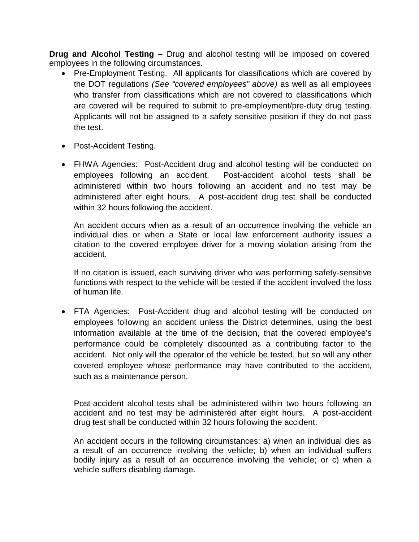**Drug and Alcohol Testing –** Drug and alcohol testing will be imposed on covered employees in the following circumstances.

- Pre-Employment Testing. All applicants for classifications which are covered by the DOT regulations *(See "covered employees" above)* as well as all employees who transfer from classifications which are not covered to classifications which are covered will be required to submit to pre-employment/pre-duty drug testing. Applicants will not be assigned to a safety sensitive position if they do not pass the test.
- Post-Accident Testing.
- FHWA Agencies: Post-Accident drug and alcohol testing will be conducted on employees following an accident. Post-accident alcohol tests shall be administered within two hours following an accident and no test may be administered after eight hours. A post-accident drug test shall be conducted within 32 hours following the accident.

An accident occurs when as a result of an occurrence involving the vehicle an individual dies or when a State or local law enforcement authority issues a citation to the covered employee driver for a moving violation arising from the accident.

If no citation is issued, each surviving driver who was performing safety-sensitive functions with respect to the vehicle will be tested if the accident involved the loss of human life.

• FTA Agencies: Post-Accident drug and alcohol testing will be conducted on employees following an accident unless the District determines, using the best information available at the time of the decision, that the covered employee's performance could be completely discounted as a contributing factor to the accident. Not only will the operator of the vehicle be tested, but so will any other covered employee whose performance may have contributed to the accident, such as a maintenance person.

Post-accident alcohol tests shall be administered within two hours following an accident and no test may be administered after eight hours. A post-accident drug test shall be conducted within 32 hours following the accident.

An accident occurs in the following circumstances: a) when an individual dies as a result of an occurrence involving the vehicle; b) when an individual suffers bodily injury as a result of an occurrence involving the vehicle; or c) when a vehicle suffers disabling damage.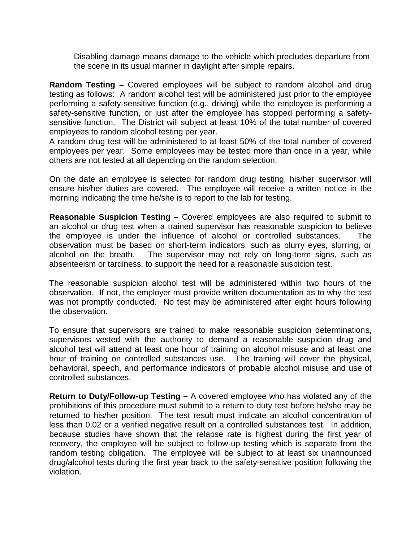Disabling damage means damage to the vehicle which precludes departure from the scene in its usual manner in daylight after simple repairs.

**Random Testing –** Covered employees will be subject to random alcohol and drug testing as follows: A random alcohol test will be administered just prior to the employee performing a safety-sensitive function (e.g., driving) while the employee is performing a safety-sensitive function, or just after the employee has stopped performing a safetysensitive function. The District will subject at least 10% of the total number of covered employees to random alcohol testing per year.

A random drug test will be administered to at least 50% of the total number of covered employees per year. Some employees may be tested more than once in a year, while others are not tested at all depending on the random selection.

On the date an employee is selected for random drug testing, his/her supervisor will ensure his/her duties are covered. The employee will receive a written notice in the morning indicating the time he/she is to report to the lab for testing.

**Reasonable Suspicion Testing –** Covered employees are also required to submit to an alcohol or drug test when a trained supervisor has reasonable suspicion to believe the employee is under the influence of alcohol or controlled substances. The observation must be based on short-term indicators, such as blurry eyes, slurring, or alcohol on the breath. The supervisor may not rely on long-term signs, such as absenteeism or tardiness, to support the need for a reasonable suspicion test.

The reasonable suspicion alcohol test will be administered within two hours of the observation. If not, the employer must provide written documentation as to why the test was not promptly conducted. No test may be administered after eight hours following the observation.

To ensure that supervisors are trained to make reasonable suspicion determinations, supervisors vested with the authority to demand a reasonable suspicion drug and alcohol test will attend at least one hour of training on alcohol misuse and at least one hour of training on controlled substances use. The training will cover the physical, behavioral, speech, and performance indicators of probable alcohol misuse and use of controlled substances.

**Return to Duty/Follow-up Testing –** A covered employee who has violated any of the prohibitions of this procedure must submit to a return to duty test before he/she may be returned to his/her position. The test result must indicate an alcohol concentration of less than 0.02 or a verified negative result on a controlled substances test. In addition, because studies have shown that the relapse rate is highest during the first year of recovery, the employee will be subject to follow-up testing which is separate from the random testing obligation. The employee will be subject to at least six unannounced drug/alcohol tests during the first year back to the safety-sensitive position following the violation.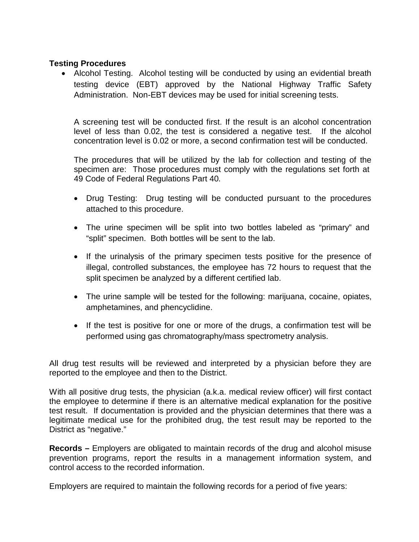## **Testing Procedures**

• Alcohol Testing. Alcohol testing will be conducted by using an evidential breath testing device (EBT) approved by the National Highway Traffic Safety Administration. Non-EBT devices may be used for initial screening tests.

A screening test will be conducted first. If the result is an alcohol concentration level of less than 0.02, the test is considered a negative test. If the alcohol concentration level is 0.02 or more, a second confirmation test will be conducted.

The procedures that will be utilized by the lab for collection and testing of the specimen are: Those procedures must comply with the regulations set forth at 49 Code of Federal Regulations Part 40*.*

- Drug Testing: Drug testing will be conducted pursuant to the procedures attached to this procedure.
- The urine specimen will be split into two bottles labeled as "primary" and "split" specimen. Both bottles will be sent to the lab.
- If the urinalysis of the primary specimen tests positive for the presence of illegal, controlled substances, the employee has 72 hours to request that the split specimen be analyzed by a different certified lab.
- The urine sample will be tested for the following: marijuana, cocaine, opiates, amphetamines, and phencyclidine.
- If the test is positive for one or more of the drugs, a confirmation test will be performed using gas chromatography/mass spectrometry analysis.

All drug test results will be reviewed and interpreted by a physician before they are reported to the employee and then to the District.

With all positive drug tests, the physician (a.k.a. medical review officer) will first contact the employee to determine if there is an alternative medical explanation for the positive test result. If documentation is provided and the physician determines that there was a legitimate medical use for the prohibited drug, the test result may be reported to the District as "negative."

**Records –** Employers are obligated to maintain records of the drug and alcohol misuse prevention programs, report the results in a management information system, and control access to the recorded information.

Employers are required to maintain the following records for a period of five years: